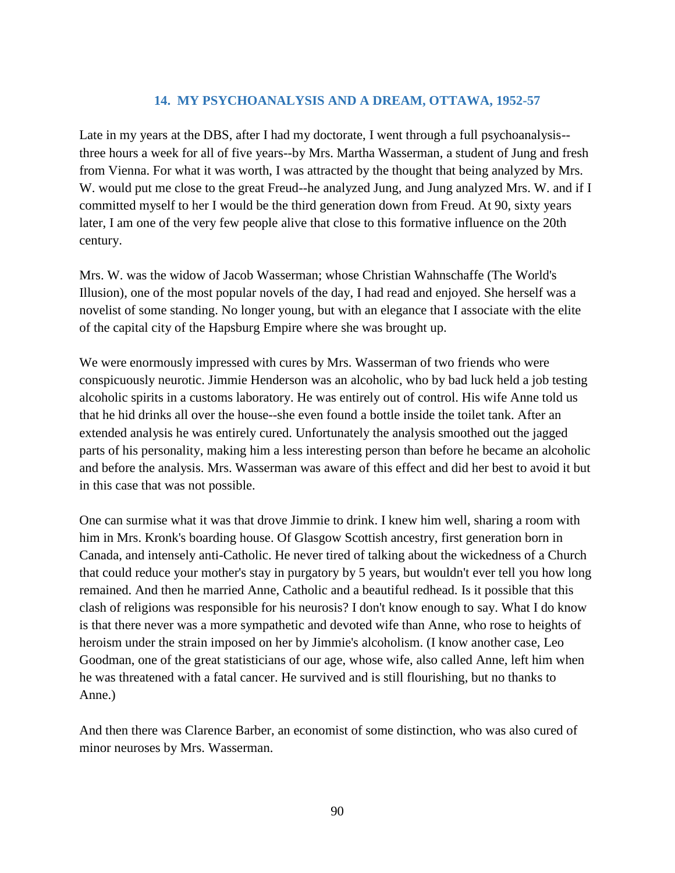## **14. MY PSYCHOANALYSIS AND A DREAM, OTTAWA, 1952-57**

Late in my years at the DBS, after I had my doctorate, I went through a full psychoanalysis--three hours a week for all of five years--by Mrs. Martha Wasserman, a student of Jung and fresh from Vienna. For what it was worth, I was attracted by the thought that being analyzed by Mrs. W. would put me close to the great Freud--he analyzed Jung, and Jung analyzed Mrs. W. and if I committed myself to her I would be the third generation down from Freud. At 90, sixty years later, I am one of the very few people alive that close to this formative influence on the 20th century.

Mrs. W. was the widow of Jacob Wasserman; whose Christian Wahnschaffe (The World's Illusion), one of the most popular novels of the day, I had read and enjoyed. She herself was a novelist of some standing. No longer young, but with an elegance that I associate with the elite of the capital city of the Hapsburg Empire where she was brought up.

We were enormously impressed with cures by Mrs. Wasserman of two friends who were conspicuously neurotic. Jimmie Henderson was an alcoholic, who by bad luck held a job testing alcoholic spirits in a customs laboratory. He was entirely out of control. His wife Anne told us that he hid drinks all over the house--she even found a bottle inside the toilet tank. After an extended analysis he was entirely cured. Unfortunately the analysis smoothed out the jagged parts of his personality, making him a less interesting person than before he became an alcoholic and before the analysis. Mrs. Wasserman was aware of this effect and did her best to avoid it but in this case that was not possible.

One can surmise what it was that drove Jimmie to drink. I knew him well, sharing a room with him in Mrs. Kronk's boarding house. Of Glasgow Scottish ancestry, first generation born in Canada, and intensely anti-Catholic. He never tired of talking about the wickedness of a Church that could reduce your mother's stay in purgatory by 5 years, but wouldn't ever tell you how long remained. And then he married Anne, Catholic and a beautiful redhead. Is it possible that this clash of religions was responsible for his neurosis? I don't know enough to say. What I do know is that there never was a more sympathetic and devoted wife than Anne, who rose to heights of heroism under the strain imposed on her by Jimmie's alcoholism. (I know another case, Leo Goodman, one of the great statisticians of our age, whose wife, also called Anne, left him when he was threatened with a fatal cancer. He survived and is still flourishing, but no thanks to Anne.)

And then there was Clarence Barber, an economist of some distinction, who was also cured of minor neuroses by Mrs. Wasserman.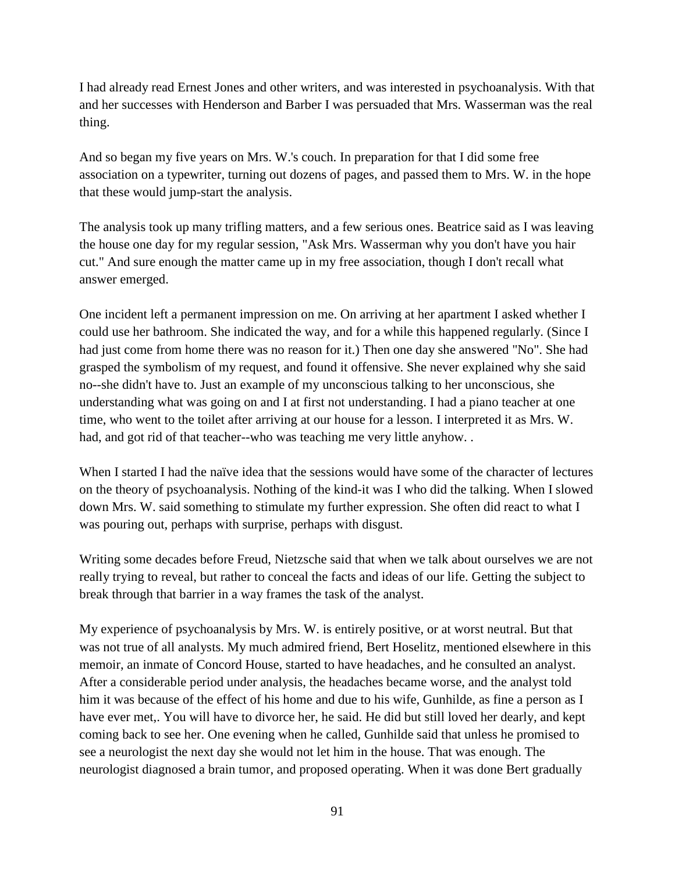I had already read Ernest Jones and other writers, and was interested in psychoanalysis. With that and her successes with Henderson and Barber I was persuaded that Mrs. Wasserman was the real thing.

And so began my five years on Mrs. W.'s couch. In preparation for that I did some free association on a typewriter, turning out dozens of pages, and passed them to Mrs. W. in the hope that these would jump-start the analysis.

The analysis took up many trifling matters, and a few serious ones. Beatrice said as I was leaving the house one day for my regular session, "Ask Mrs. Wasserman why you don't have you hair cut." And sure enough the matter came up in my free association, though I don't recall what answer emerged.

One incident left a permanent impression on me. On arriving at her apartment I asked whether I could use her bathroom. She indicated the way, and for a while this happened regularly. (Since I had just come from home there was no reason for it.) Then one day she answered "No". She had grasped the symbolism of my request, and found it offensive. She never explained why she said no--she didn't have to. Just an example of my unconscious talking to her unconscious, she understanding what was going on and I at first not understanding. I had a piano teacher at one time, who went to the toilet after arriving at our house for a lesson. I interpreted it as Mrs. W. had, and got rid of that teacher--who was teaching me very little anyhow. .

When I started I had the naïve idea that the sessions would have some of the character of lectures on the theory of psychoanalysis. Nothing of the kind-it was I who did the talking. When I slowed down Mrs. W. said something to stimulate my further expression. She often did react to what I was pouring out, perhaps with surprise, perhaps with disgust.

Writing some decades before Freud, Nietzsche said that when we talk about ourselves we are not really trying to reveal, but rather to conceal the facts and ideas of our life. Getting the subject to break through that barrier in a way frames the task of the analyst.

My experience of psychoanalysis by Mrs. W. is entirely positive, or at worst neutral. But that was not true of all analysts. My much admired friend, Bert Hoselitz, mentioned elsewhere in this memoir, an inmate of Concord House, started to have headaches, and he consulted an analyst. After a considerable period under analysis, the headaches became worse, and the analyst told him it was because of the effect of his home and due to his wife, Gunhilde, as fine a person as I have ever met,. You will have to divorce her, he said. He did but still loved her dearly, and kept coming back to see her. One evening when he called, Gunhilde said that unless he promised to see a neurologist the next day she would not let him in the house. That was enough. The neurologist diagnosed a brain tumor, and proposed operating. When it was done Bert gradually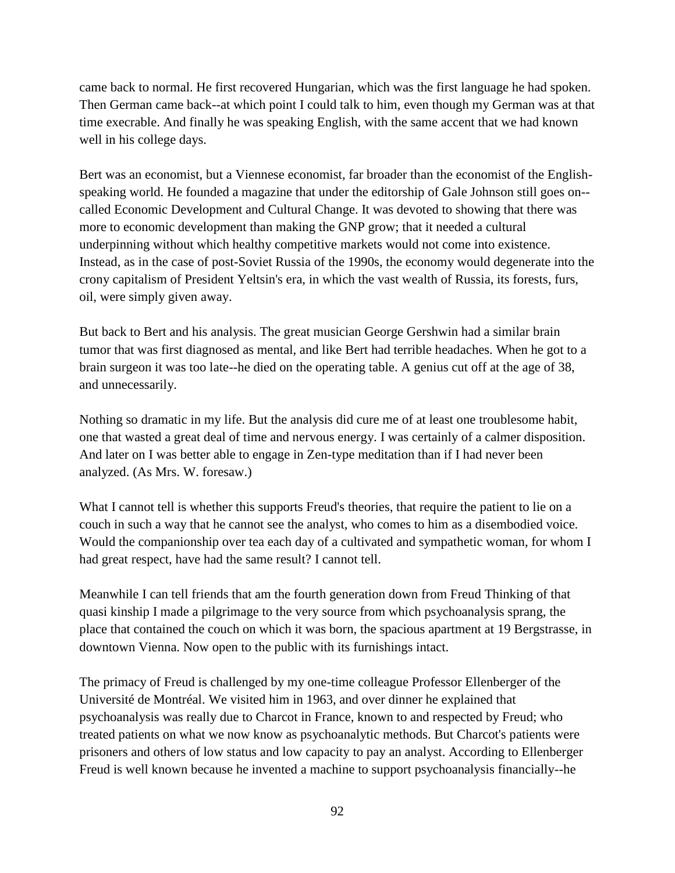came back to normal. He first recovered Hungarian, which was the first language he had spoken. Then German came back--at which point I could talk to him, even though my German was at that time execrable. And finally he was speaking English, with the same accent that we had known well in his college days.

Bert was an economist, but a Viennese economist, far broader than the economist of the Englishspeaking world. He founded a magazine that under the editorship of Gale Johnson still goes on- called Economic Development and Cultural Change. It was devoted to showing that there was more to economic development than making the GNP grow; that it needed a cultural underpinning without which healthy competitive markets would not come into existence. Instead, as in the case of post-Soviet Russia of the 1990s, the economy would degenerate into the crony capitalism of President Yeltsin's era, in which the vast wealth of Russia, its forests, furs, oil, were simply given away.

But back to Bert and his analysis. The great musician George Gershwin had a similar brain tumor that was first diagnosed as mental, and like Bert had terrible headaches. When he got to a brain surgeon it was too late--he died on the operating table. A genius cut off at the age of 38, and unnecessarily.

Nothing so dramatic in my life. But the analysis did cure me of at least one troublesome habit, one that wasted a great deal of time and nervous energy. I was certainly of a calmer disposition. And later on I was better able to engage in Zen-type meditation than if I had never been analyzed. (As Mrs. W. foresaw.)

What I cannot tell is whether this supports Freud's theories, that require the patient to lie on a couch in such a way that he cannot see the analyst, who comes to him as a disembodied voice. Would the companionship over tea each day of a cultivated and sympathetic woman, for whom I had great respect, have had the same result? I cannot tell.

Meanwhile I can tell friends that am the fourth generation down from Freud Thinking of that quasi kinship I made a pilgrimage to the very source from which psychoanalysis sprang, the place that contained the couch on which it was born, the spacious apartment at 19 Bergstrasse, in downtown Vienna. Now open to the public with its furnishings intact.

The primacy of Freud is challenged by my one-time colleague Professor Ellenberger of the Université de Montréal. We visited him in 1963, and over dinner he explained that psychoanalysis was really due to Charcot in France, known to and respected by Freud; who treated patients on what we now know as psychoanalytic methods. But Charcot's patients were prisoners and others of low status and low capacity to pay an analyst. According to Ellenberger Freud is well known because he invented a machine to support psychoanalysis financially--he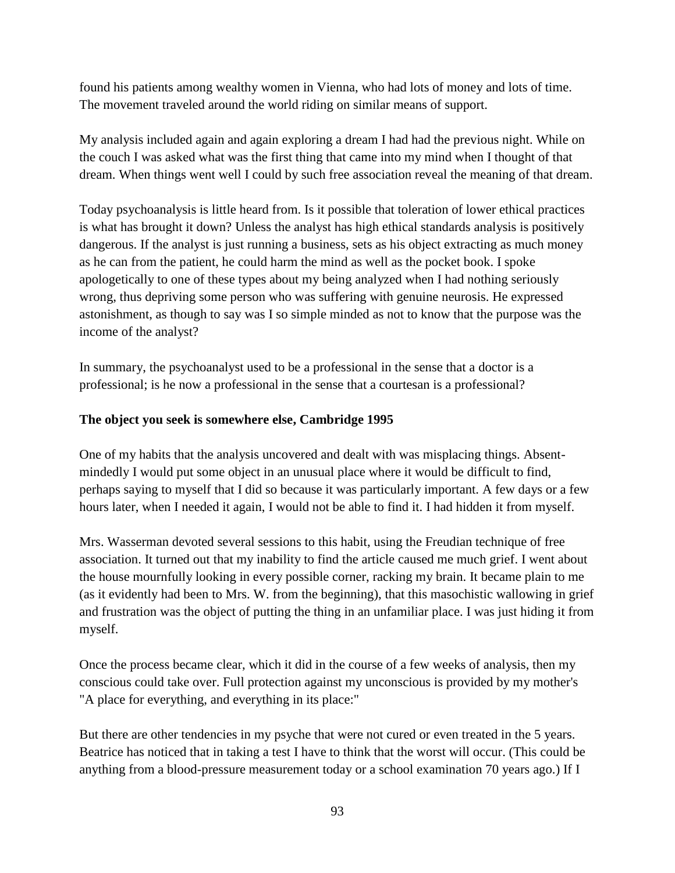found his patients among wealthy women in Vienna, who had lots of money and lots of time. The movement traveled around the world riding on similar means of support.

My analysis included again and again exploring a dream I had had the previous night. While on the couch I was asked what was the first thing that came into my mind when I thought of that dream. When things went well I could by such free association reveal the meaning of that dream.

Today psychoanalysis is little heard from. Is it possible that toleration of lower ethical practices is what has brought it down? Unless the analyst has high ethical standards analysis is positively dangerous. If the analyst is just running a business, sets as his object extracting as much money as he can from the patient, he could harm the mind as well as the pocket book. I spoke apologetically to one of these types about my being analyzed when I had nothing seriously wrong, thus depriving some person who was suffering with genuine neurosis. He expressed astonishment, as though to say was I so simple minded as not to know that the purpose was the income of the analyst?

In summary, the psychoanalyst used to be a professional in the sense that a doctor is a professional; is he now a professional in the sense that a courtesan is a professional?

## **The object you seek is somewhere else, Cambridge 1995**

One of my habits that the analysis uncovered and dealt with was misplacing things. Absentmindedly I would put some object in an unusual place where it would be difficult to find, perhaps saying to myself that I did so because it was particularly important. A few days or a few hours later, when I needed it again, I would not be able to find it. I had hidden it from myself.

Mrs. Wasserman devoted several sessions to this habit, using the Freudian technique of free association. It turned out that my inability to find the article caused me much grief. I went about the house mournfully looking in every possible corner, racking my brain. It became plain to me (as it evidently had been to Mrs. W. from the beginning), that this masochistic wallowing in grief and frustration was the object of putting the thing in an unfamiliar place. I was just hiding it from myself.

Once the process became clear, which it did in the course of a few weeks of analysis, then my conscious could take over. Full protection against my unconscious is provided by my mother's "A place for everything, and everything in its place:"

But there are other tendencies in my psyche that were not cured or even treated in the 5 years. Beatrice has noticed that in taking a test I have to think that the worst will occur. (This could be anything from a blood-pressure measurement today or a school examination 70 years ago.) If I